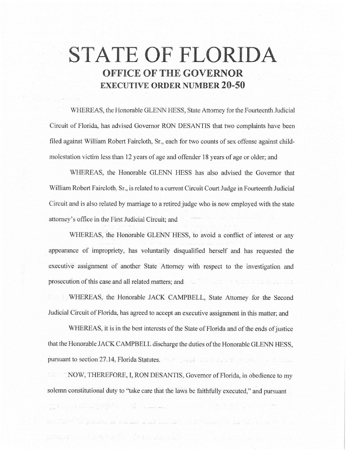# **STATE OF FLORIDA OFFICE OF THE GOVERNOR EXECUTIVE ORDER NUMBER 20-50**

\VHEREAS, the Honorable GLENN HESS, State Attorney for the Fourteenth Judicial Circuit of Florida, has advised Governor RON DESANTIS that two complaints have been filed against William Robert Faircloth, Sr., each for two counts of sex offense against childmolestation victim less than 12 years of age and offender 18 years of age or older; and

WHEREAS, the Honorable GLENN HESS has also advised the Governor that William Robert Faircloth, Sr., is related to a current Circuit Court Judge in Fourteenth Judicial Circuit and is also related by marriage to a retired judge who is now employed with the state attorney's office in the First Judicial Circuit; and

WHEREAS, the Honorable GLENN HESS, to avoid a conflict of interest or any appearance of impropriety, has voluntarily disqualified herself and has requested the executive assignment of another State Attorney with respect to the investigation. and prosecution of this case and all related matters; and

WHEREAS, the Honorable JACK CAMPBELL, State Attorney for the Second Judicial Circuit of Florida, has agreed to accept an executive assignment ih this matter; and

WHEREAS, it is in the best interests of the State of Florida and of the ends of justice that the Honorable JACK CAMPBELL discharge the duties of the Honorable GLENN HESS, pursuant to section 27.14, Florida Statutes. The section 27.14, Florida Statutes.

NOW, THEREFORE, I, RON DESANTIS, Governor of Florida, in obedience to my solemn constitutional duty to "take care that the laws be faithfully executed," and pursuant

a se se se de la provincia de seus anos de seus de la constitución de la constitución de la constitución de la

 $\frac{a}{\sinh\theta}=\frac{a}{\cos\theta}=\frac{a}{\sin\theta}=\frac{a}{\sin\theta}=\frac{a}{\sin\theta}=\frac{a}{\sin\theta}=\frac{a}{\sin\theta}=\frac{a}{\sin\theta}=\frac{a}{\sin\theta}=\frac{a}{\sin\theta}=\frac{a}{\sin\theta}=\frac{a}{\sin\theta}=\frac{a}{\sin\theta}=\frac{a}{\sin\theta}=\frac{a}{\sin\theta}=\frac{a}{\sin\theta}=\frac{a}{\sin\theta}=\frac{a}{\sin\theta}=\frac{a}{\sin\theta}=\frac{a}{\sin\theta}=\frac{a}{\sin\theta}=\frac{a}{\sin\theta$ 

in the state of the state of the state of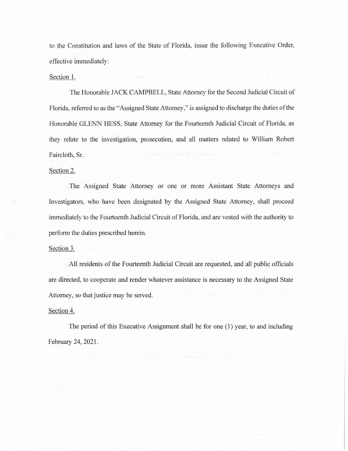to the Constitution and laws of the State of Florida, issue the following Executive Order, effective immediately:

### Section 1.

The Honorable JACK CAMPBELL, State Attorney for the Second Judicial Circuit of Florida, referred to as the "Assigned State Attorney," is assigned to discharge the duties of the Honorable GLENN· HESS, State Attorney for the Fourteenth Judicial Circuit of Florida, as they relate to the investigation, prosecution, and all matters related to William Robert Faircloth, Sr.

## Section 2.

The Assigned State Attorney or one or more Assistant State Attorneys and Investigators, who have been designated by the Assigned State Attorney, shall proceed immediately to the Fourteenth Judicial Circuit of Florida, and are vested with the authority to perform the duties prescribed herein.

### Section 3.

All residents of the Fourteenth Judicial Circuit are requested, and all public officials are directed, to cooperate and render whatever assistance is necessary to the Assigned State Attorney, so that justice may be served.

## Section 4.

The period of this Executive Assignment shall be for one (1) year, to and including February 24, 2021.